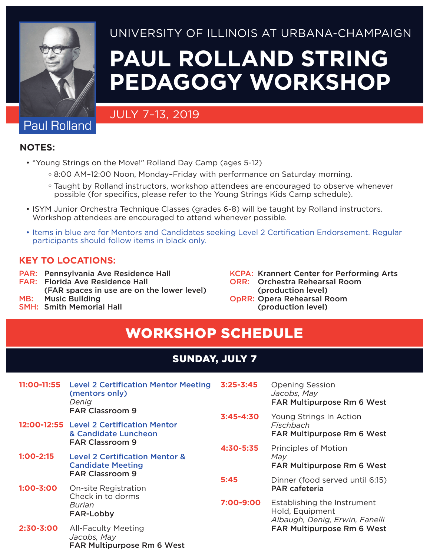

#### University of Illinois at Urbana-Champaign

# **Paul Rolland String Pedagogy Workshop**

#### July 7–13, 2019

# Paul Rolland

**Notes:**

- "Young Strings on the Move!" Rolland Day Camp (ages 5-12)
	- ° 8:00 AM–12:00 Noon, Monday–Friday with performance on Saturday morning.
	- ° Taught by Rolland instructors, workshop attendees are encouraged to observe whenever possible (for specifics, please refer to the Young Strings Kids Camp schedule).
- ISYM Junior Orchestra Technique Classes (grades 6-8) will be taught by Rolland instructors. Workshop attendees are encouraged to attend whenever possible.
- Items in blue are for Mentors and Candidates seeking Level 2 Certification Endorsement. Regular participants should follow items in black only.

#### **Key to Locations:**

- PAR: Pennsylvania Ave Residence Hall
- FAR: Florida Ave Residence Hall
- (FAR spaces in use are on the lower level)
- MB: Music Building
- SMH: Smith Memorial Hall
- KCPA: Krannert Center for Performing Arts
- ORR: Orchestra Rehearsal Room (production level)
- OpRR: Opera Rehearsal Room (production level)

# workshop Schedule

#### Sunday, July 7

| 11:00-11:55   | <b>Level 2 Certification Mentor Meeting</b><br>(mentors only)<br>Denig<br><b>FAR Classroom 9</b><br>12:00-12:55 Level 2 Certification Mentor<br>& Candidate Luncheon<br><b>FAR Classroom 9</b> | $3:25 - 3:45$ | <b>Opening Session</b><br>Jacobs, May<br><b>FAR Multipurpose Rm 6 West</b>       |
|---------------|------------------------------------------------------------------------------------------------------------------------------------------------------------------------------------------------|---------------|----------------------------------------------------------------------------------|
|               |                                                                                                                                                                                                | $3:45 - 4:30$ | Young Strings In Action<br>Fischbach                                             |
|               |                                                                                                                                                                                                |               | <b>FAR Multipurpose Rm 6 West</b>                                                |
|               |                                                                                                                                                                                                | 4:30-5:35     | <b>Principles of Motion</b><br>May<br><b>FAR Multipurpose Rm 6 West</b>          |
| $1:00 - 2:15$ | <b>Level 2 Certification Mentor &amp;</b><br><b>Candidate Meeting</b><br><b>FAR Classroom 9</b>                                                                                                |               |                                                                                  |
|               |                                                                                                                                                                                                | 5:45          | Dinner (food served until 6:15)                                                  |
| $1:00 - 3:00$ | <b>On-site Registration</b><br>Check in to dorms<br>Burian<br><b>FAR-Lobby</b>                                                                                                                 |               | <b>PAR cafeteria</b>                                                             |
|               |                                                                                                                                                                                                | 7:00-9:00     | Establishing the Instrument<br>Hold, Equipment<br>Albaugh, Denig, Erwin, Fanelli |
| $2:30 - 3:00$ | <b>All-Faculty Meeting</b><br>Jacobs, May<br>FAR Multipurpose Rm 6 West                                                                                                                        |               | <b>FAR Multipurpose Rm 6 West</b>                                                |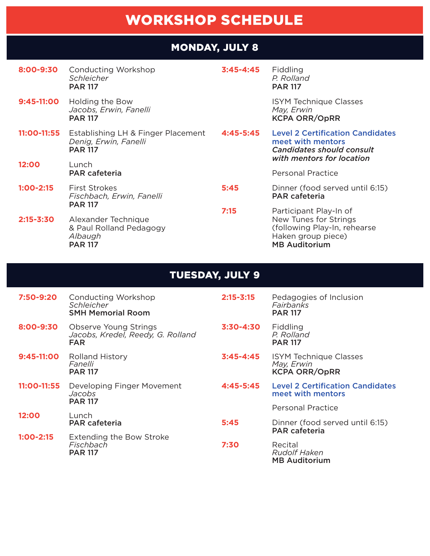# workshop Schedule

#### Monday, July 8

| 8:00-9:30 | Conducting Workshop |
|-----------|---------------------|
|           | Schleicher          |
|           | <b>PAR 117</b>      |

**9:45-11:00** Holding the Bow *Jacobs, Erwin, Fanelli* PAR 117

PAR 117

**3:45-4:45** Fiddling *P. Rolland*

PAR 117

 ISYM Technique Classes *May, Erwin*  KCPA ORR/OpRR

MB Auditorium

**11:00-11:55** Establishing LH & Finger Placement *Denig, Erwin, Fanelli* PAR 117 **12:00** Lunch PAR cafeteria **1:00-2:15** First Strokes *Fischbach, Erwin, Fanelli* PAR 117 **2:15-3:30** Alexander Technique & Paul Rolland Pedagogy *Albaugh* **4:45-5:45** Level 2 Certification Candidates meet with mentors *Candidates should consult with mentors for location* Personal Practice **5:45** Dinner (food served until 6:15) PAR cafeteria **7:15** Participant Play-In of New Tunes for Strings (following Play-In, rehearse Haken group piece)

#### Tuesday, July 9

| 7:50-9:20     | Conducting Workshop<br>Schleicher<br><b>SMH Memorial Room</b>                   | $2:15 - 3:15$ | Pedagogies of Inclusion<br>Fairbanks<br><b>PAR 117</b>              |
|---------------|---------------------------------------------------------------------------------|---------------|---------------------------------------------------------------------|
| 8:00-9:30     | <b>Observe Young Strings</b><br>Jacobs, Kredel, Reedy, G. Rolland<br><b>FAR</b> | $3:30 - 4:30$ | Fiddling<br>P. Rolland<br><b>PAR 117</b>                            |
| $9:45-11:00$  | <b>Rolland History</b><br>Fanelli<br><b>PAR 117</b>                             | $3:45 - 4:45$ | <b>ISYM Technique Classes</b><br>May, Erwin<br><b>KCPA ORR/OpRR</b> |
| 11:00-11:55   | Developing Finger Movement<br>Jacobs<br><b>PAR 117</b>                          | 4:45-5:45     | <b>Level 2 Certification Candidates</b><br>meet with mentors        |
|               |                                                                                 |               | <b>Personal Practice</b>                                            |
| 12:00         | Lunch<br><b>PAR cafeteria</b>                                                   | 5:45          | Dinner (food served until 6:15)<br><b>PAR cafeteria</b>             |
| $1:00 - 2:15$ | <b>Extending the Bow Stroke</b><br>Fischbach<br><b>PAR 117</b>                  | 7:30          | Recital<br><b>Rudolf Haken</b><br><b>MB Auditorium</b>              |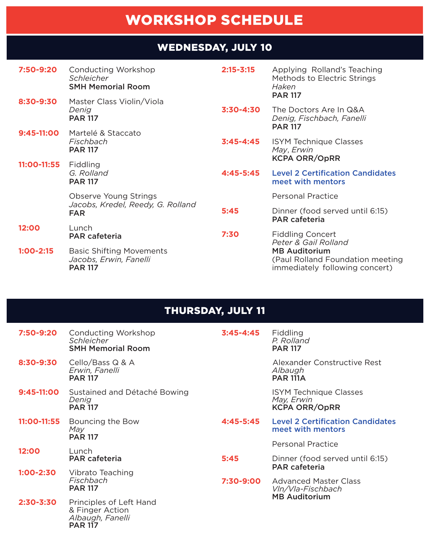# WORKSHOP SCHEDULE

## WEDNESDAY, JULY 10

| 7:50-9:20   | Conducting Workshop<br><b>Schleicher</b><br><b>SMH Memorial Room</b>            | $2:15 - 3:15$ | Applying Rolland's Teaching<br>Methods to Electric Strings<br>Haken<br><b>PAR 117</b>      |
|-------------|---------------------------------------------------------------------------------|---------------|--------------------------------------------------------------------------------------------|
| 8:30-9:30   | Master Class Violin/Viola<br>Denig<br><b>PAR 117</b>                            | $3:30 - 4:30$ | The Doctors Are In Q&A<br>Denig, Fischbach, Fanelli<br><b>PAR 117</b>                      |
| 9:45-11:00  | Martelé & Staccato<br>Fischbach<br><b>PAR 117</b>                               | $3:45 - 4:45$ | <b>ISYM Technique Classes</b><br>May, Erwin<br><b>KCPA ORR/OpRR</b>                        |
| 11:00-11:55 | Fiddling<br>G. Rolland<br><b>PAR 117</b>                                        | $4:45 - 5:45$ | <b>Level 2 Certification Candidates</b><br>meet with mentors                               |
|             | <b>Observe Young Strings</b><br>Jacobs, Kredel, Reedy, G. Rolland<br><b>FAR</b> |               | <b>Personal Practice</b>                                                                   |
|             |                                                                                 | 5:45          | Dinner (food served until 6:15)<br><b>PAR cafeteria</b>                                    |
| 12:00       | Lunch<br><b>PAR cafeteria</b>                                                   | 7:30          | <b>Fiddling Concert</b><br>Peter & Gail Rolland                                            |
| $1:00-2:15$ | <b>Basic Shifting Movements</b><br>Jacobs, Erwin, Fanelli<br><b>PAR 117</b>     |               | <b>MB Auditorium</b><br>(Paul Rolland Foundation meeting<br>immediately following concert) |

## Thursday, July 11

| 7:50-9:20     | Conducting Workshop<br><i>Schleicher</i><br><b>SMH Memorial Room</b>             | $3:45 - 4:45$ | Fiddling<br>P. Rolland<br><b>PAR 117</b>                            |
|---------------|----------------------------------------------------------------------------------|---------------|---------------------------------------------------------------------|
| 8:30-9:30     | Cello/Bass Q & A<br>Erwin, Fanelli<br><b>PAR 117</b>                             |               | Alexander Constructive Rest<br>Albaugh<br><b>PAR 111A</b>           |
| 9:45-11:00    | Sustained and Détaché Bowing<br>Denig<br><b>PAR 117</b>                          |               | <b>ISYM Technique Classes</b><br>May, Erwin<br><b>KCPA ORR/OpRR</b> |
| 11:00-11:55   | Bouncing the Bow<br>May<br><b>PAR 117</b>                                        | 4:45-5:45     | <b>Level 2 Certification Candidates</b><br>meet with mentors        |
|               |                                                                                  |               | <b>Personal Practice</b>                                            |
| 12:00         | Lunch<br><b>PAR cafeteria</b>                                                    | 5:45          | Dinner (food served until 6:15)<br><b>PAR cafeteria</b>             |
| $1:00 - 2:30$ | Vibrato Teaching<br>Fischbach<br><b>PAR 117</b>                                  | 7:30-9:00     | <b>Advanced Master Class</b><br>VIn/VIa-Fischbach                   |
| $2:30 - 3:30$ | Principles of Left Hand<br>& Finger Action<br>Albaugh, Fanelli<br><b>PAR 117</b> |               | <b>MB Auditorium</b>                                                |